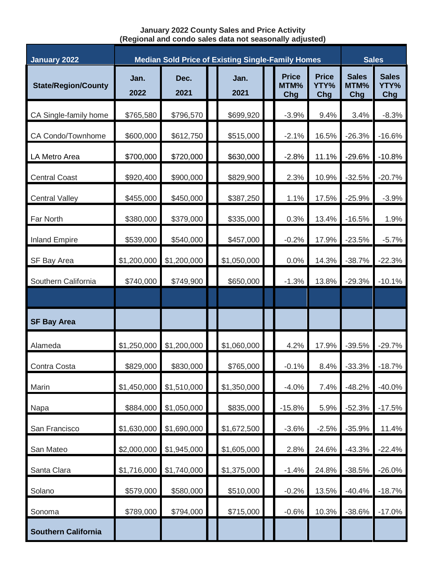## **January 2022 County Sales and Price Activity (Regional and condo sales data not seasonally adjusted)**

| <b>January 2022</b>        | <b>Median Sold Price of Existing Single-Family Homes</b> |              |  |              |  |                             |                             | <b>Sales</b>                |                             |
|----------------------------|----------------------------------------------------------|--------------|--|--------------|--|-----------------------------|-----------------------------|-----------------------------|-----------------------------|
| <b>State/Region/County</b> | Jan.<br>2022                                             | Dec.<br>2021 |  | Jan.<br>2021 |  | <b>Price</b><br>MTM%<br>Chg | <b>Price</b><br>YTY%<br>Chg | <b>Sales</b><br>MTM%<br>Chg | <b>Sales</b><br>YTY%<br>Chg |
| CA Single-family home      | \$765,580                                                | \$796,570    |  | \$699,920    |  | $-3.9%$                     | 9.4%                        | 3.4%                        | $-8.3%$                     |
| CA Condo/Townhome          | \$600,000                                                | \$612,750    |  | \$515,000    |  | $-2.1%$                     | 16.5%                       | $-26.3%$                    | $-16.6%$                    |
| LA Metro Area              | \$700,000                                                | \$720,000    |  | \$630,000    |  | $-2.8%$                     | 11.1%                       | $-29.6%$                    | $-10.8%$                    |
| <b>Central Coast</b>       | \$920,400                                                | \$900,000    |  | \$829,900    |  | 2.3%                        | 10.9%                       | $-32.5%$                    | $-20.7%$                    |
| <b>Central Valley</b>      | \$455,000                                                | \$450,000    |  | \$387,250    |  | 1.1%                        | 17.5%                       | $-25.9%$                    | $-3.9%$                     |
| Far North                  | \$380,000                                                | \$379,000    |  | \$335,000    |  | 0.3%                        | 13.4%                       | $-16.5%$                    | 1.9%                        |
| <b>Inland Empire</b>       | \$539,000                                                | \$540,000    |  | \$457,000    |  | $-0.2%$                     | 17.9%                       | $-23.5%$                    | $-5.7%$                     |
| SF Bay Area                | \$1,200,000                                              | \$1,200,000  |  | \$1,050,000  |  | 0.0%                        | 14.3%                       | $-38.7%$                    | $-22.3%$                    |
| Southern California        | \$740,000                                                | \$749,900    |  | \$650,000    |  | $-1.3%$                     | 13.8%                       | $-29.3%$                    | $-10.1%$                    |
|                            |                                                          |              |  |              |  |                             |                             |                             |                             |
| <b>SF Bay Area</b>         |                                                          |              |  |              |  |                             |                             |                             |                             |
| Alameda                    | \$1,250,000                                              | \$1,200,000  |  | \$1,060,000  |  | 4.2%                        | 17.9%                       | $-39.5%$                    | $-29.7%$                    |
| Contra Costa               | \$829,000                                                | \$830,000    |  | \$765,000    |  | $-0.1%$                     | 8.4%                        | $-33.3%$                    | $-18.7%$                    |
| Marin                      | \$1,450,000                                              | \$1,510,000  |  | \$1,350,000  |  | $-4.0%$                     | 7.4%                        | $-48.2%$                    | $-40.0%$                    |
| Napa                       | \$884,000                                                | \$1,050,000  |  | \$835,000    |  | $-15.8%$                    | 5.9%                        | $-52.3%$                    | $-17.5%$                    |
| San Francisco              | \$1,630,000                                              | \$1,690,000  |  | \$1,672,500  |  | $-3.6%$                     | $-2.5%$                     | $-35.9%$                    | 11.4%                       |
| San Mateo                  | \$2,000,000                                              | \$1,945,000  |  | \$1,605,000  |  | 2.8%                        | 24.6%                       | $-43.3%$                    | $-22.4%$                    |
| Santa Clara                | \$1,716,000                                              | \$1,740,000  |  | \$1,375,000  |  | $-1.4%$                     | 24.8%                       | $-38.5%$                    | $-26.0%$                    |
| Solano                     | \$579,000                                                | \$580,000    |  | \$510,000    |  | $-0.2%$                     | 13.5%                       | $-40.4%$                    | $-18.7%$                    |
| Sonoma                     | \$789,000                                                | \$794,000    |  | \$715,000    |  | $-0.6%$                     | 10.3%                       | $-38.6%$                    | $-17.0%$                    |
| <b>Southern California</b> |                                                          |              |  |              |  |                             |                             |                             |                             |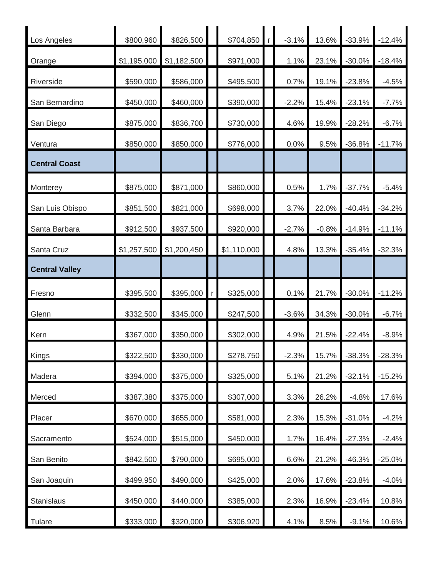| Los Angeles           | \$800,960   | \$826,500   | \$704,850   | $\mathsf{r}$ | $-3.1%$ | 13.6%   | $-33.9%$ | $-12.4%$ |
|-----------------------|-------------|-------------|-------------|--------------|---------|---------|----------|----------|
| Orange                | \$1,195,000 | \$1,182,500 | \$971,000   |              | 1.1%    | 23.1%   | $-30.0%$ | $-18.4%$ |
| Riverside             | \$590,000   | \$586,000   | \$495,500   |              | 0.7%    | 19.1%   | $-23.8%$ | $-4.5%$  |
| San Bernardino        | \$450,000   | \$460,000   | \$390,000   |              | $-2.2%$ | 15.4%   | $-23.1%$ | $-7.7%$  |
| San Diego             | \$875,000   | \$836,700   | \$730,000   |              | 4.6%    | 19.9%   | $-28.2%$ | $-6.7%$  |
| Ventura               | \$850,000   | \$850,000   | \$776,000   |              | 0.0%    | 9.5%    | $-36.8%$ | $-11.7%$ |
| <b>Central Coast</b>  |             |             |             |              |         |         |          |          |
| Monterey              | \$875,000   | \$871,000   | \$860,000   |              | 0.5%    | 1.7%    | $-37.7%$ | $-5.4%$  |
| San Luis Obispo       | \$851,500   | \$821,000   | \$698,000   |              | 3.7%    | 22.0%   | $-40.4%$ | $-34.2%$ |
| Santa Barbara         | \$912,500   | \$937,500   | \$920,000   |              | $-2.7%$ | $-0.8%$ | $-14.9%$ | $-11.1%$ |
| Santa Cruz            | \$1,257,500 | \$1,200,450 | \$1,110,000 |              | 4.8%    | 13.3%   | $-35.4%$ | $-32.3%$ |
| <b>Central Valley</b> |             |             |             |              |         |         |          |          |
| Fresno                | \$395,500   | \$395,000   | \$325,000   |              | 0.1%    | 21.7%   | $-30.0%$ | $-11.2%$ |
|                       |             |             |             |              |         |         |          |          |
| Glenn                 | \$332,500   | \$345,000   | \$247,500   |              | $-3.6%$ | 34.3%   | $-30.0%$ | $-6.7%$  |
| Kern                  | \$367,000   | \$350,000   | \$302,000   |              | 4.9%    | 21.5%   | $-22.4%$ | $-8.9%$  |
| Kings                 | \$322,500   | \$330,000   | \$278,750   |              | $-2.3%$ | 15.7%   | $-38.3%$ | $-28.3%$ |
| Madera                | \$394,000   | \$375,000   | \$325,000   |              | 5.1%    | 21.2%   | $-32.1%$ | $-15.2%$ |
| Merced                | \$387,380   | \$375,000   | \$307,000   |              | 3.3%    | 26.2%   | $-4.8%$  | 17.6%    |
| Placer                | \$670,000   | \$655,000   | \$581,000   |              | 2.3%    | 15.3%   | $-31.0%$ | $-4.2%$  |
| Sacramento            | \$524,000   | \$515,000   | \$450,000   |              | 1.7%    | 16.4%   | $-27.3%$ | $-2.4%$  |
| San Benito            | \$842,500   | \$790,000   | \$695,000   |              | 6.6%    | 21.2%   | $-46.3%$ | $-25.0%$ |
| San Joaquin           | \$499,950   | \$490,000   | \$425,000   |              | 2.0%    | 17.6%   | $-23.8%$ | $-4.0%$  |
| Stanislaus            | \$450,000   | \$440,000   | \$385,000   |              | 2.3%    | 16.9%   | $-23.4%$ | 10.8%    |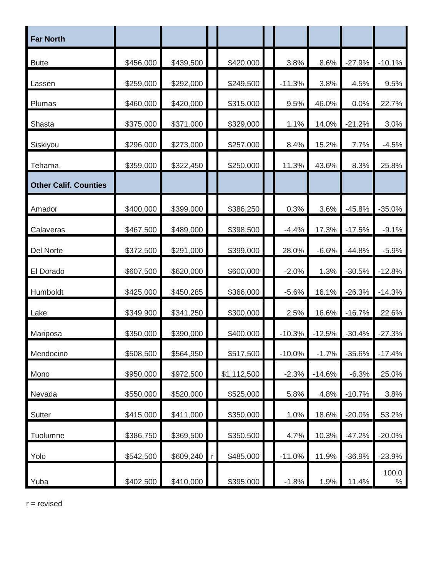| <b>Far North</b>             |           |           |             |           |          |          |               |
|------------------------------|-----------|-----------|-------------|-----------|----------|----------|---------------|
| <b>Butte</b>                 | \$456,000 | \$439,500 | \$420,000   | 3.8%      | 8.6%     | $-27.9%$ | $-10.1%$      |
| Lassen                       | \$259,000 | \$292,000 | \$249,500   | $-11.3%$  | 3.8%     | 4.5%     | 9.5%          |
| Plumas                       | \$460,000 | \$420,000 | \$315,000   | 9.5%      | 46.0%    | 0.0%     | 22.7%         |
| Shasta                       | \$375,000 | \$371,000 | \$329,000   | 1.1%      | 14.0%    | $-21.2%$ | 3.0%          |
| Siskiyou                     | \$296,000 | \$273,000 | \$257,000   | 8.4%      | 15.2%    | 7.7%     | $-4.5%$       |
| Tehama                       | \$359,000 | \$322,450 | \$250,000   | 11.3%     | 43.6%    | 8.3%     | 25.8%         |
| <b>Other Calif. Counties</b> |           |           |             |           |          |          |               |
| Amador                       | \$400,000 | \$399,000 | \$386,250   | 0.3%      | 3.6%     | $-45.8%$ | $-35.0%$      |
| Calaveras                    | \$467,500 | \$489,000 | \$398,500   | $-4.4%$   | 17.3%    | $-17.5%$ | $-9.1%$       |
| Del Norte                    | \$372,500 | \$291,000 | \$399,000   | 28.0%     | $-6.6%$  | $-44.8%$ | $-5.9%$       |
| El Dorado                    | \$607,500 | \$620,000 | \$600,000   | $-2.0%$   | 1.3%     | $-30.5%$ | $-12.8%$      |
| Humboldt                     | \$425,000 | \$450,285 | \$366,000   | $-5.6%$   | 16.1%    | $-26.3%$ | $-14.3%$      |
| Lake                         | \$349,900 | \$341,250 | \$300,000   | 2.5%      | 16.6%    | $-16.7%$ | 22.6%         |
| Mariposa                     | \$350,000 | \$390,000 | \$400,000   | $-10.3%$  | $-12.5%$ | $-30.4%$ | $-27.3%$      |
| Mendocino                    | \$508,500 | \$564,950 | \$517,500   | $-10.0\%$ | $-1.7\%$ | $-35.6%$ | $-17.4%$      |
| Mono                         | \$950,000 | \$972,500 | \$1,112,500 | $-2.3%$   | $-14.6%$ | $-6.3%$  | 25.0%         |
| Nevada                       | \$550,000 | \$520,000 | \$525,000   | 5.8%      | 4.8%     | $-10.7%$ | 3.8%          |
| Sutter                       | \$415,000 | \$411,000 | \$350,000   | 1.0%      | 18.6%    | $-20.0%$ | 53.2%         |
| Tuolumne                     | \$386,750 | \$369,500 | \$350,500   | 4.7%      | 10.3%    | $-47.2%$ | $-20.0%$      |
| Yolo                         | \$542,500 | \$609,240 | \$485,000   | $-11.0%$  | 11.9%    | $-36.9%$ | $-23.9%$      |
| Yuba                         | \$402,500 | \$410,000 | \$395,000   | $-1.8%$   | 1.9%     | 11.4%    | 100.0<br>$\%$ |

 $r =$  revised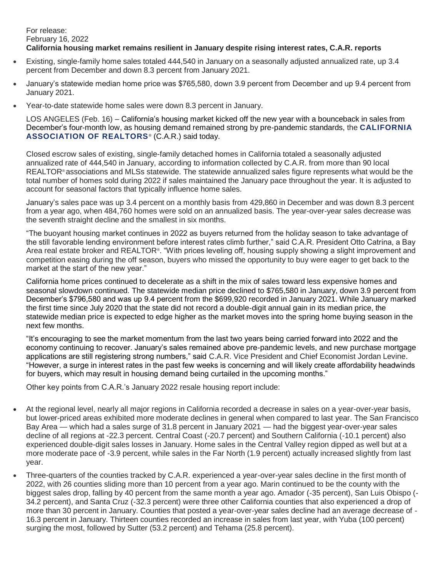## For release: February 16, 2022 **California housing market remains resilient in January despite rising interest rates, C.A.R. reports**

- Existing, single-family home sales totaled 444,540 in January on a seasonally adjusted annualized rate, up 3.4 percent from December and down 8.3 percent from January 2021.
- January's statewide median home price was \$765,580, down 3.9 percent from December and up 9.4 percent from January 2021.
- Year-to-date statewide home sales were down 8.3 percent in January.

LOS ANGELES (Feb. 16) – California's housing market kicked off the new year with a bounceback in sales from December's four-month low, as housing demand remained strong by pre-pandemic standards, the **[CALIFORNIA](http://www.car.org/)**  [ASSOCIATION OF REALTORS](http://www.car.org/)<sup>®</sup> (C.A.R.) said today.

Closed escrow sales of existing, single-family detached homes in California totaled a seasonally adjusted annualized rate of 444,540 in January, according to information collected by C.A.R. from more than 90 local REALTOR® associations and MLSs statewide. The statewide annualized sales figure represents what would be the total number of homes sold during 2022 if sales maintained the January pace throughout the year. It is adjusted to account for seasonal factors that typically influence home sales.

January's sales pace was up 3.4 percent on a monthly basis from 429,860 in December and was down 8.3 percent from a year ago, when 484,760 homes were sold on an annualized basis. The year-over-year sales decrease was the seventh straight decline and the smallest in six months.

"The buoyant housing market continues in 2022 as buyers returned from the holiday season to take advantage of the still favorable lending environment before interest rates climb further," said C.A.R. President Otto Catrina, a Bay Area real estate broker and REALTOR®. "With prices leveling off, housing supply showing a slight improvement and competition easing during the off season, buyers who missed the opportunity to buy were eager to get back to the market at the start of the new year."

California home prices continued to decelerate as a shift in the mix of sales toward less expensive homes and seasonal slowdown continued. The statewide median price declined to \$765,580 in January, down 3.9 percent from December's \$796,580 and was up 9.4 percent from the \$699,920 recorded in January 2021. While January marked the first time since July 2020 that the state did not record a double-digit annual gain in its median price, the statewide median price is expected to edge higher as the market moves into the spring home buying season in the next few months.

"It's encouraging to see the market momentum from the last two years being carried forward into 2022 and the economy continuing to recover. January's sales remained above pre-pandemic levels, and new purchase mortgage applications are still registering strong numbers," said C.A.R. Vice President and Chief Economist Jordan Levine. "However, a surge in interest rates in the past few weeks is concerning and will likely create affordability headwinds for buyers, which may result in housing demand being curtailed in the upcoming months."

Other key points from C.A.R.'s January 2022 resale housing report include:

- At the regional level, nearly all major regions in California recorded a decrease in sales on a year-over-year basis, but lower-priced areas exhibited more moderate declines in general when compared to last year. The San Francisco Bay Area — which had a sales surge of 31.8 percent in January 2021 — had the biggest year-over-year sales decline of all regions at -22.3 percent. Central Coast (-20.7 percent) and Southern California (-10.1 percent) also experienced double-digit sales losses in January. Home sales in the Central Valley region dipped as well but at a more moderate pace of -3.9 percent, while sales in the Far North (1.9 percent) actually increased slightly from last year.
- Three-quarters of the counties tracked by C.A.R. experienced a year-over-year sales decline in the first month of 2022, with 26 counties sliding more than 10 percent from a year ago. Marin continued to be the county with the biggest sales drop, falling by 40 percent from the same month a year ago. Amador (-35 percent), San Luis Obispo (- 34.2 percent), and Santa Cruz (-32.3 percent) were three other California counties that also experienced a drop of more than 30 percent in January. Counties that posted a year-over-year sales decline had an average decrease of - 16.3 percent in January. Thirteen counties recorded an increase in sales from last year, with Yuba (100 percent) surging the most, followed by Sutter (53.2 percent) and Tehama (25.8 percent).